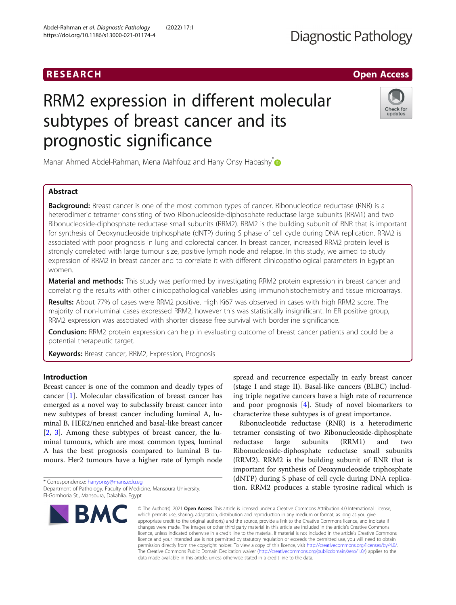# RESEARCH **RESEARCH CHANNEL CONTROL**

# RRM2 expression in different molecular subtypes of breast cancer and its prognostic significance

Manar Ahmed Abdel-Rahman, Mena Mahfouz and Hany Onsy Habashy<sup>[\\*](http://orcid.org/0000-0003-3685-5273)</sup>

# Abstract

**Background:** Breast cancer is one of the most common types of cancer. Ribonucleotide reductase (RNR) is a heterodimeric tetramer consisting of two Ribonucleoside-diphosphate reductase large subunits (RRM1) and two Ribonucleoside-diphosphate reductase small subunits (RRM2). RRM2 is the building subunit of RNR that is important for synthesis of Deoxynucleoside triphosphate (dNTP) during S phase of cell cycle during DNA replication. RRM2 is associated with poor prognosis in lung and colorectal cancer. In breast cancer, increased RRM2 protein level is strongly correlated with large tumour size, positive lymph node and relapse. In this study, we aimed to study expression of RRM2 in breast cancer and to correlate it with different clinicopathological parameters in Egyptian women.

Material and methods: This study was performed by investigating RRM2 protein expression in breast cancer and correlating the results with other clinicopathological variables using immunohistochemistry and tissue microarrays.

Results: About 77% of cases were RRM2 positive. High Ki67 was observed in cases with high RRM2 score. The majority of non-luminal cases expressed RRM2, however this was statistically insignificant. In ER positive group, RRM2 expression was associated with shorter disease free survival with borderline significance.

**Conclusion:** RRM2 protein expression can help in evaluating outcome of breast cancer patients and could be a potential therapeutic target.

Keywords: Breast cancer, RRM2, Expression, Prognosis

# Introduction

Breast cancer is one of the common and deadly types of cancer [\[1](#page-7-0)]. Molecular classification of breast cancer has emerged as a novel way to subclassify breast cancer into new subtypes of breast cancer including luminal A, luminal B, HER2/neu enriched and basal-like breast cancer [[2,](#page-7-0) [3](#page-7-0)]. Among these subtypes of breast cancer, the luminal tumours, which are most common types, luminal A has the best prognosis compared to luminal B tumours. Her2 tumours have a higher rate of lymph node

spread and recurrence especially in early breast cancer (stage I and stage II). Basal-like cancers (BLBC) including triple negative cancers have a high rate of recurrence and poor prognosis [\[4](#page-7-0)]. Study of novel biomarkers to characterize these subtypes is of great importance.

Ribonucleotide reductase (RNR) is a heterodimeric tetramer consisting of two Ribonucleoside-diphosphate reductase large subunits (RRM1) and two Ribonucleoside-diphosphate reductase small subunits (RRM2). RRM2 is the building subunit of RNR that is important for synthesis of Deoxynucleoside triphosphate (dNTP) during S phase of cell cycle during DNA replication. RRM2 produces a stable tyrosine radical which is

© The Author(s), 2021 **Open Access** This article is licensed under a Creative Commons Attribution 4.0 International License, which permits use, sharing, adaptation, distribution and reproduction in any medium or format, as long as you give appropriate credit to the original author(s) and the source, provide a link to the Creative Commons licence, and indicate if changes were made. The images or other third party material in this article are included in the article's Creative Commons licence, unless indicated otherwise in a credit line to the material. If material is not included in the article's Creative Commons licence and your intended use is not permitted by statutory regulation or exceeds the permitted use, you will need to obtain permission directly from the copyright holder. To view a copy of this licence, visit [http://creativecommons.org/licenses/by/4.0/.](http://creativecommons.org/licenses/by/4.0/) The Creative Commons Public Domain Dedication waiver [\(http://creativecommons.org/publicdomain/zero/1.0/](http://creativecommons.org/publicdomain/zero/1.0/)) applies to the data made available in this article, unless otherwise stated in a credit line to the data.

\* Correspondence: [hanyonsy@mans.edu.eg](mailto:hanyonsy@mans.edu.eg)

**BMC** 

Abdel-Rahman et al. Diagnostic Pathology (2022) 17:1 https://doi.org/10.1186/s13000-021-01174-4

> Check for updates





Department of Pathology, Faculty of Medicine, Mansoura University, El-Gomhoria St., Mansoura, Dakahlia, Egypt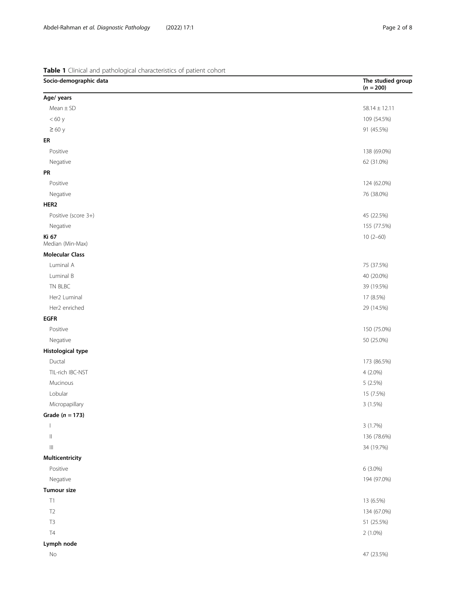<span id="page-1-0"></span>Table 1 Clinical and pathological characteristics of patient cohort

| Socio-demographic data               | The studied group<br>$(n = 200)$ |
|--------------------------------------|----------------------------------|
| Age/ years                           |                                  |
| $Mean \pm SD$                        | $58.14 \pm 12.11$                |
| < 60 y                               | 109 (54.5%)                      |
| $\geq 60$ y                          | 91 (45.5%)                       |
| ER                                   |                                  |
| Positive                             | 138 (69.0%)                      |
| Negative                             | 62 (31.0%)                       |
| PR                                   |                                  |
| Positive                             | 124 (62.0%)                      |
| Negative                             | 76 (38.0%)                       |
| HER <sub>2</sub>                     |                                  |
| Positive (score 3+)                  | 45 (22.5%)                       |
| Negative                             | 155 (77.5%)                      |
| Ki 67<br>Median (Min-Max)            | $10(2-60)$                       |
| <b>Molecular Class</b>               |                                  |
| Luminal A                            | 75 (37.5%)                       |
| Luminal B                            | 40 (20.0%)                       |
| TN BLBC                              | 39 (19.5%)                       |
| Her2 Luminal                         | 17 (8.5%)                        |
| Her2 enriched                        | 29 (14.5%)                       |
| <b>EGFR</b>                          |                                  |
| Positive                             | 150 (75.0%)                      |
| Negative                             | 50 (25.0%)                       |
| <b>Histological type</b>             |                                  |
| Ductal                               | 173 (86.5%)                      |
| TIL-rich IBC-NST                     | 4 (2.0%)                         |
| Mucinous                             | 5 (2.5%)                         |
| Lobular                              | 15 (7.5%)                        |
| Micropapillary                       | 3 (1.5%)                         |
| Grade ( $n = 173$ )                  |                                  |
| $\overline{\phantom{a}}$             | 3 (1.7%)                         |
| $\vert\vert$                         | 136 (78.6%)                      |
| $\left\vert \right\vert \right\vert$ | 34 (19.7%)                       |
| Multicentricity                      |                                  |
| Positive                             | 6 (3.0%)                         |
| Negative                             | 194 (97.0%)                      |
| <b>Tumour size</b>                   |                                  |
| $\top 1$                             | 13 (6.5%)                        |
| T <sub>2</sub>                       | 134 (67.0%)                      |
| T3                                   | 51 (25.5%)                       |
| T4                                   | $2(1.0\%)$                       |
| Lymph node                           |                                  |
| $\rm No$                             | 47 (23.5%)                       |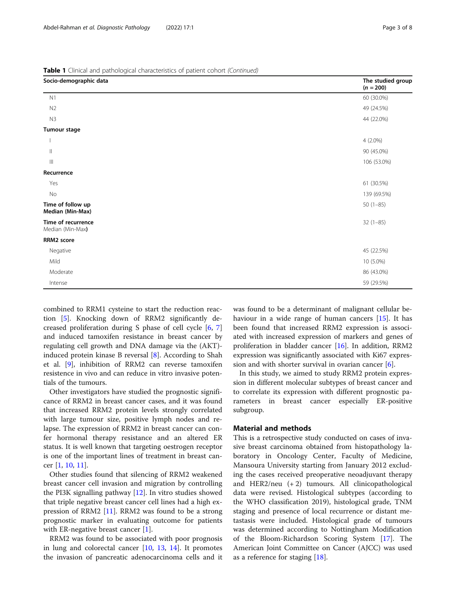combined to RRM1 cysteine to start the reduction reaction [[5\]](#page-7-0). Knocking down of RRM2 significantly decreased proliferation during S phase of cell cycle [\[6](#page-7-0), [7](#page-7-0)] and induced tamoxifen resistance in breast cancer by regulating cell growth and DNA damage via the (AKT) induced protein kinase B reversal [\[8](#page-7-0)]. According to Shah et al. [\[9\]](#page-7-0), inhibition of RRM2 can reverse tamoxifen resistence in vivo and can reduce in vitro invasive potentials of the tumours.

Other investigators have studied the prognostic significance of RRM2 in breast cancer cases, and it was found that increased RRM2 protein levels strongly correlated with large tumour size, positive lymph nodes and relapse. The expression of RRM2 in breast cancer can confer hormonal therapy resistance and an altered ER status. It is well known that targeting oestrogen receptor is one of the important lines of treatment in breast cancer [\[1](#page-7-0), [10](#page-7-0), [11\]](#page-7-0).

Other studies found that silencing of RRM2 weakened breast cancer cell invasion and migration by controlling the PI3K signalling pathway [\[12\]](#page-7-0). In vitro studies showed that triple negative breast cancer cell lines had a high expression of RRM2  $[11]$  $[11]$ . RRM2 was found to be a strong prognostic marker in evaluating outcome for patients with ER-negative breast cancer [\[1](#page-7-0)].

RRM2 was found to be associated with poor prognosis in lung and colorectal cancer  $[10, 13, 14]$  $[10, 13, 14]$  $[10, 13, 14]$  $[10, 13, 14]$  $[10, 13, 14]$  $[10, 13, 14]$  $[10, 13, 14]$ . It promotes the invasion of pancreatic adenocarcinoma cells and it was found to be a determinant of malignant cellular be-haviour in a wide range of human cancers [[15\]](#page-7-0). It has been found that increased RRM2 expression is associated with increased expression of markers and genes of proliferation in bladder cancer [\[16](#page-7-0)]. In addition, RRM2 expression was significantly associated with Ki67 expression and with shorter survival in ovarian cancer [\[6](#page-7-0)].

In this study, we aimed to study RRM2 protein expression in different molecular subtypes of breast cancer and to correlate its expression with different prognostic parameters in breast cancer especially ER-positive subgroup.

### Material and methods

This is a retrospective study conducted on cases of invasive breast carcinoma obtained from histopathology laboratory in Oncology Center, Faculty of Medicine, Mansoura University starting from January 2012 excluding the cases received preoperative neoadjuvant therapy and  $HER2/neu (+2)$  tumours. All clinicopathological data were revised. Histological subtypes (according to the WHO classification 2019), histological grade, TNM staging and presence of local recurrence or distant metastasis were included. Histological grade of tumours was determined according to Nottingham Modification of the Bloom-Richardson Scoring System [\[17\]](#page-7-0). The American Joint Committee on Cancer (AJCC) was used as a reference for staging [\[18\]](#page-7-0).

Table 1 Clinical and pathological characteristics of patient cohort (Continued)

| Socio-demographic data                 | The studied group<br>$(n = 200)$ |
|----------------------------------------|----------------------------------|
| N1                                     | 60 (30.0%)                       |
| N <sub>2</sub>                         | 49 (24.5%)                       |
| N3                                     | 44 (22.0%)                       |
| Tumour stage                           |                                  |
|                                        | 4 (2.0%)                         |
| $\, \parallel$                         | 90 (45.0%)                       |
| $\  \ $                                | 106 (53.0%)                      |
| Recurrence                             |                                  |
| Yes                                    | 61 (30.5%)                       |
| No                                     | 139 (69.5%)                      |
| Time of follow up<br>Median (Min-Max)  | $50(1-85)$                       |
| Time of recurrence<br>Median (Min-Max) | $32(1-85)$                       |
| RRM2 score                             |                                  |
| Negative                               | 45 (22.5%)                       |
| Mild                                   | 10 (5.0%)                        |
| Moderate                               | 86 (43.0%)                       |
| Intense                                | 59 (29.5%)                       |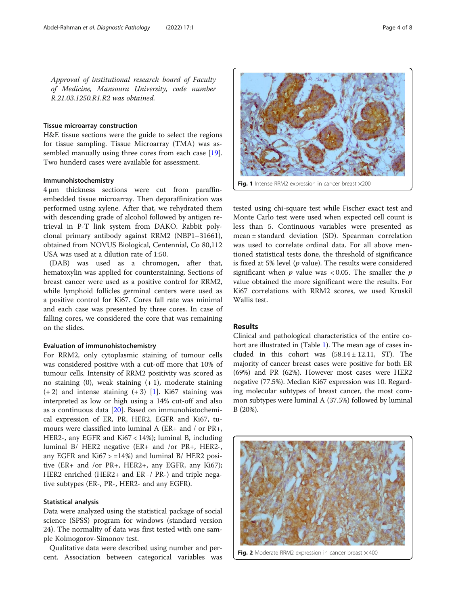<span id="page-3-0"></span>Approval of institutional research board of Faculty of Medicine, Mansoura University, code number R.21.03.1250.R1.R2 was obtained.

#### Tissue microarray construction

H&E tissue sections were the guide to select the regions for tissue sampling. Tissue Microarray (TMA) was assembled manually using three cores from each case [\[19](#page-7-0)]. Two hunderd cases were available for assessment.

#### Immunohistochemistry

4 μm thickness sections were cut from paraffinembedded tissue microarray. Then deparaffinization was performed using xylene. After that, we rehydrated them with descending grade of alcohol followed by antigen retrieval in P-T link system from DAKO. Rabbit polyclonal primary antibody against RRM2 (NBP1–31661), obtained from NOVUS Biological, Centennial, Co 80,112 USA was used at a dilution rate of 1:50.

(DAB) was used as a chromogen, after that, hematoxylin was applied for counterstaining. Sections of breast cancer were used as a positive control for RRM2, while lymphoid follicles germinal centers were used as a positive control for Ki67. Cores fall rate was minimal and each case was presented by three cores. In case of falling cores, we considered the core that was remaining on the slides.

#### Evaluation of immunohistochemistry

For RRM2, only cytoplasmic staining of tumour cells was considered positive with a cut-off more that 10% of tumour cells. Intensity of RRM2 positivity was scored as no staining  $(0)$ , weak staining  $(+1)$ , moderate staining  $(+ 2)$  and intense staining  $(+ 3)$  [\[1](#page-7-0)]. Ki67 staining was interpreted as low or high using a 14% cut-off and also as a continuous data [\[20](#page-7-0)]. Based on immunohistochemical expression of ER, PR, HER2, EGFR and Ki67, tumours were classified into luminal A (ER+ and / or PR+, HER2-, any EGFR and Ki67 < 14%); luminal B, including luminal B/ HER2 negative (ER+ and /or PR+, HER2-, any EGFR and  $Ki67 > = 14\%)$  and luminal B/ HER2 positive (ER+ and /or PR+, HER2+, any EGFR, any Ki67); HER2 enriched (HER2+ and ER−/ PR-) and triple negative subtypes (ER-, PR-, HER2- and any EGFR).

#### Statistical analysis

Data were analyzed using the statistical package of social science (SPSS) program for windows (standard version 24). The normality of data was first tested with one sample Kolmogorov-Simonov test.

Qualitative data were described using number and percent. Association between categorical variables was

tested using chi-square test while Fischer exact test and Monte Carlo test were used when expected cell count is less than 5. Continuous variables were presented as mean ± standard deviation (SD). Spearman correlation was used to correlate ordinal data. For all above mentioned statistical tests done, the threshold of significance is fixed at 5% level  $(p \text{ value})$ . The results were considered significant when  $p$  value was < 0.05. The smaller the  $p$ value obtained the more significant were the results. For Ki67 correlations with RRM2 scores, we used Kruskil Wallis test. Fig. 1 Intense RRM2 expression in cancer breast  $\times 200$ 

#### Results

Clinical and pathological characteristics of the entire cohort are illustrated in (Table [1\)](#page-1-0). The mean age of cases included in this cohort was  $(58.14 \pm 12.11, ST)$ . The majority of cancer breast cases were positive for both ER (69%) and PR (62%). However most cases were HER2 negative (77.5%). Median Ki67 expression was 10. Regarding molecular subtypes of breast cancer, the most common subtypes were luminal A (37.5%) followed by luminal B (20%).



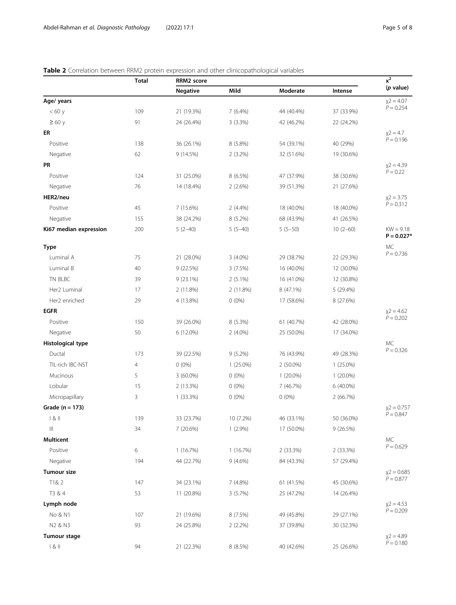# <span id="page-4-0"></span>Table 2 Correlation between RRM2 protein expression and other clinicopathological variables

|                                      | Total          | <b>RRM2</b> score |             |             |             | $\overline{x^2}$            |
|--------------------------------------|----------------|-------------------|-------------|-------------|-------------|-----------------------------|
|                                      |                | <b>Negative</b>   | Mild        | Moderate    | Intense     | (p value)                   |
| Age/ years                           |                |                   |             |             |             | $x^2 = 4.07$                |
| < 60 y                               | 109            | 21 (19.3%)        | $7(6.4\%)$  | 44 (40.4%)  | 37 (33.9%)  | $P = 0.254$                 |
| $\geq 60$ y                          | 91             | 24 (26.4%)        | 3(3.3%)     | 42 (46.2%)  | 22 (24.2%)  |                             |
| ER                                   |                |                   |             |             |             | $x^2 = 4.7$                 |
| Positive                             | 138            | 36 (26.1%)        | $8(5.8\%)$  | 54 (39.1%)  | 40 (29%)    | $P = 0.196$                 |
| Negative                             | 62             | 9(14.5%)          | 2(3.2%)     | 32 (51.6%)  | 19 (30.6%)  |                             |
| PR                                   |                |                   |             |             |             | $x2 = 4.39$                 |
| Positive                             | 124            | 31 (25.0%)        | 8 (6.5%)    | 47 (37.9%)  | 38 (30.6%)  | $P = 0.22$                  |
| Negative                             | 76             | 14 (18.4%)        | 2(2.6%)     | 39 (51.3%)  | 21 (27.6%)  |                             |
| HER2/neu                             |                |                   |             |             |             | $x^2 = 3.75$                |
| Positive                             | 45             | 7 (15.6%)         | $2(4.4\%)$  | 18 (40.0%)  | 18 (40.0%)  | $P = 0.312$                 |
| Negative                             | 155            | 38 (24.2%)        | 8 (5.2%)    | 68 (43.9%)  | 41 (26.5%)  |                             |
| Ki67 median expression               | 200            | $5(2-40)$         | $5(5-40)$   | $5(5-50)$   | $10(2-60)$  | $KW = 9.18$<br>$P = 0.027*$ |
| <b>Type</b>                          |                |                   |             |             |             | МC                          |
| Luminal A                            | 75             | 21 (28.0%)        | $3(4.0\%)$  | 29 (38.7%)  | 22 (29.3%)  | $P = 0.736$                 |
| Luminal B                            | 40             | 9(22.5%)          | 3(7.5%)     | 16 (40.0%)  | 12 (30.0%)  |                             |
| TN BLBC                              | 39             | 9(23.1%)          | $2(5.1\%)$  | 16 (41.0%)  | 12 (30.8%)  |                             |
| Her2 Luminal                         | 17             | 2 (11.8%)         | 2 (11.8%)   | 8 (47.1%)   | 5 (29.4%)   |                             |
| Her2 enriched                        | 29             | 4 (13.8%)         | $0(0\%)$    | 17 (58.6%)  | 8 (27.6%)   |                             |
| <b>EGFR</b>                          |                |                   |             |             |             | $x^2 = 4.62$                |
| Positive                             | 150            | 39 (26.0%)        | $8(5.3\%)$  | 61 (40.7%)  | 42 (28.0%)  | $P = 0.202$                 |
| Negative                             | 50             | 6 (12.0%)         | $2(4.0\%)$  | 25 (50.0%)  | 17 (34.0%)  |                             |
| Histological type                    |                |                   |             |             |             | MC                          |
| Ductal                               | 173            | 39 (22.5%)        | $9(5.2\%)$  | 76 (43.9%)  | 49 (28.3%)  | $P = 0.326$                 |
| TIL-rich IBC-NST                     | $\overline{4}$ | $0(0\%)$          | $1(25.0\%)$ | 2 (50.0%)   | $1(25.0\%)$ |                             |
| Mucinous                             | 5              | 3 (60.0%)         | $0(0\%)$    | $1(20.0\%)$ | $1(20.0\%)$ |                             |
| Lobular                              | 15             | 2(13.3%)          | $0(0\%)$    | 7 (46.7%)   | 6 (40.0%)   |                             |
| Micropapillary                       | 3              | 1(33.3%)          | $0(0\%)$    | $0(0\%)$    | 2 (66.7%)   |                             |
| Grade ( $n = 173$ )                  |                |                   |             |             |             | $x2 = 0.757$                |
| 1 & II                               | 139            | 33 (23.7%)        | 10 (7.2%)   | 46 (33.1%)  | 50 (36.0%)  | $P = 0.847$                 |
| $\left\vert \right\vert \right\vert$ | 34             | 7 (20.6%)         | $1(2.9\%)$  | 17 (50.0%)  | 9 (26.5%)   |                             |
| <b>Multicent</b>                     |                |                   |             |             |             | MC                          |
| Positive                             | 6              | 1(16.7%)          | 1(16.7%)    | 2 (33.3%)   | 2 (33.3%)   | $P = 0.629$                 |
| Negative                             | 194            | 44 (22.7%)        | $9(4.6\%)$  | 84 (43.3%)  | 57 (29.4%)  |                             |
| <b>Tumour size</b>                   |                |                   |             |             |             | $x^2 = 0.685$               |
| T1& 2                                | 147            | 34 (23.1%)        | 7 (4.8%)    | 61 (41.5%)  | 45 (30.6%)  | $P = 0.877$                 |
| T3 & 4                               | 53             | 11 (20.8%)        | 3(5.7%)     | 25 (47.2%)  | 14 (26.4%)  |                             |
| Lymph node                           |                |                   |             |             |             | $x^2 = 4.53$                |
| No & N1                              | 107            | 21 (19.6%)        | 8 (7.5%)    | 49 (45.8%)  | 29 (27.1%)  | $P = 0.209$                 |
| N2 & N3                              | 93             | 24 (25.8%)        | 2(2.2%)     | 37 (39.8%)  | 30 (32.3%)  |                             |
| Tumour stage                         |                |                   |             |             |             | $x^2 = 4.89$                |
| 1 & 8                                | 94             | 21 (22.3%)        | 8 (8.5%)    | 40 (42.6%)  | 25 (26.6%)  | $P = 0.180$                 |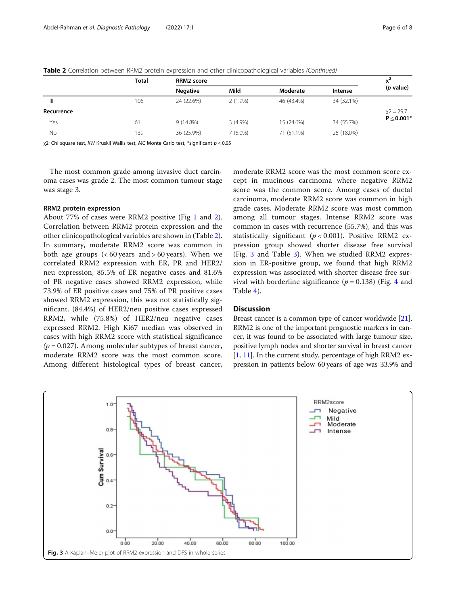|            | <b>Total</b> | RRM2 score      |            |            |            | $x^2$             |
|------------|--------------|-----------------|------------|------------|------------|-------------------|
|            |              | <b>Negative</b> | Mild       | Moderate   | Intense    | ( <i>p</i> value) |
| Ш          | 106          | 24 (22.6%)      | $2(1.9\%)$ | 46 (43.4%) | 34 (32.1%) |                   |
| Recurrence |              |                 |            |            |            | $x^2 = 29.7$      |
| Yes        | 61           | 9(14.8%)        | $3(4.9\%)$ | 15 (24.6%) | 34 (55.7%) | $P \le 0.001*$    |
| No         | 139          | 36 (25.9%)      | $7(5.0\%)$ | 71 (51.1%) | 25 (18.0%) |                   |

Table 2 Correlation between RRM2 protein expression and other clinicopathological variables (Continued)

χ2: Chi square test, KW Kruskil Wallis test, MC Monte Carlo test, \*significant  $p \le 0.05$ 

The most common grade among invasive duct carcinoma cases was grade 2. The most common tumour stage was stage 3.

#### RRM2 protein expression

About 77% of cases were RRM2 positive (Fig [1](#page-3-0) and [2](#page-3-0)). Correlation between RRM2 protein expression and the other clinicopathological variables are shown in (Table [2](#page-4-0)). In summary, moderate RRM2 score was common in both age groups  $\left( < 60 \text{ years} \right)$  and  $> 60 \text{ years}$ ). When we correlated RRM2 expression with ER, PR and HER2/ neu expression, 85.5% of ER negative cases and 81.6% of PR negative cases showed RRM2 expression, while 73.9% of ER positive cases and 75% of PR positive cases showed RRM2 expression, this was not statistically significant. (84.4%) of HER2/neu positive cases expressed RRM2, while (75.8%) of HER2/neu negative cases expressed RRM2. High Ki67 median was observed in cases with high RRM2 score with statistical significance  $(p = 0.027)$ . Among molecular subtypes of breast cancer, moderate RRM2 score was the most common score. Among different histological types of breast cancer,

moderate RRM2 score was the most common score except in mucinous carcinoma where negative RRM2 score was the common score. Among cases of ductal carcinoma, moderate RRM2 score was common in high grade cases. Moderate RRM2 score was most common among all tumour stages. Intense RRM2 score was common in cases with recurrence (55.7%), and this was statistically significant ( $p < 0.001$ ). Positive RRM2 expression group showed shorter disease free survival (Fig. 3 and Table [3](#page-6-0)). When we studied RRM2 expression in ER-positive group, we found that high RRM2 expression was associated with shorter disease free survival with borderline significance ( $p = 0.138$ ) (Fig. [4](#page-6-0) and Table [4](#page-7-0)).

## **Discussion**

Breast cancer is a common type of cancer worldwide [[21](#page-7-0)]. RRM2 is one of the important prognostic markers in cancer, it was found to be associated with large tumour size, positive lymph nodes and shorter survival in breast cancer [[1,](#page-7-0) [11](#page-7-0)]. In the current study, percentage of high RRM2 expression in patients below 60 years of age was 33.9% and

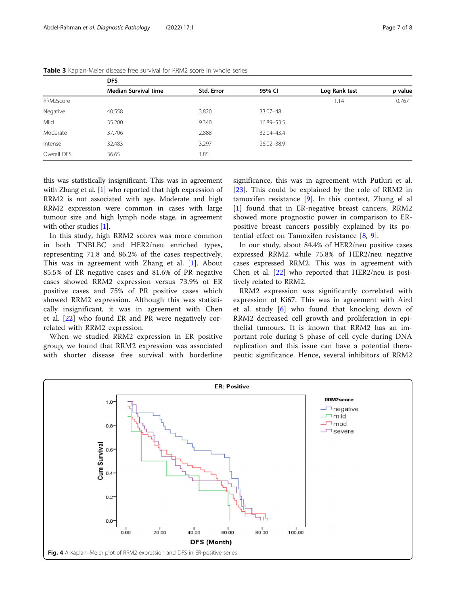|             | <b>DFS</b>                  |            |              |               |         |  |  |
|-------------|-----------------------------|------------|--------------|---------------|---------|--|--|
|             | <b>Median Survival time</b> | Std. Error | 95% CI       | Log Rank test | p value |  |  |
| RRM2score   |                             |            |              | 1.14          | 0.767   |  |  |
| Negative    | 40.558                      | 3.820      | 33.07-48     |               |         |  |  |
| Mild        | 35.200                      | 9.340      | 16.89 - 53.5 |               |         |  |  |
| Moderate    | 37.706                      | 2.888      | 32.04-43.4   |               |         |  |  |
| Intense     | 32.483                      | 3.297      | 26.02-38.9   |               |         |  |  |
| Overall DFS | 36.65                       | 1.85       |              |               |         |  |  |

<span id="page-6-0"></span>**Table 3** Kaplan-Meier disease free survival for RRM2 score in whole series

this was statistically insignificant. This was in agreement with Zhang et al. [[1](#page-7-0)] who reported that high expression of RRM2 is not associated with age. Moderate and high RRM2 expression were common in cases with large tumour size and high lymph node stage, in agreement with other studies [\[1\]](#page-7-0).

In this study, high RRM2 scores was more common in both TNBLBC and HER2/neu enriched types, representing 71.8 and 86.2% of the cases respectively. This was in agreement with Zhang et al. [[1\]](#page-7-0). About 85.5% of ER negative cases and 81.6% of PR negative cases showed RRM2 expression versus 73.9% of ER positive cases and 75% of PR positive cases which showed RRM2 expression. Although this was statistically insignificant, it was in agreement with Chen et al. [\[22](#page-7-0)] who found ER and PR were negatively correlated with RRM2 expression.

When we studied RRM2 expression in ER positive group, we found that RRM2 expression was associated with shorter disease free survival with borderline significance, this was in agreement with Putluri et al. [[23\]](#page-7-0). This could be explained by the role of RRM2 in tamoxifen resistance  $[9]$  $[9]$ . In this context, Zhang el al [[1](#page-7-0)] found that in ER-negative breast cancers, RRM2 showed more prognostic power in comparison to ERpositive breast cancers possibly explained by its potential effect on Tamoxifen resistance [\[8](#page-7-0), [9](#page-7-0)].

In our study, about 84.4% of HER2/neu positive cases expressed RRM2, while 75.8% of HER2/neu negative cases expressed RRM2. This was in agreement with Chen et al.  $[22]$  $[22]$  who reported that HER2/neu is positively related to RRM2.

RRM2 expression was significantly correlated with expression of Ki67. This was in agreement with Aird et al. study [[6\]](#page-7-0) who found that knocking down of RRM2 decreased cell growth and proliferation in epithelial tumours. It is known that RRM2 has an important role during S phase of cell cycle during DNA replication and this issue can have a potential therapeutic significance. Hence, several inhibitors of RRM2